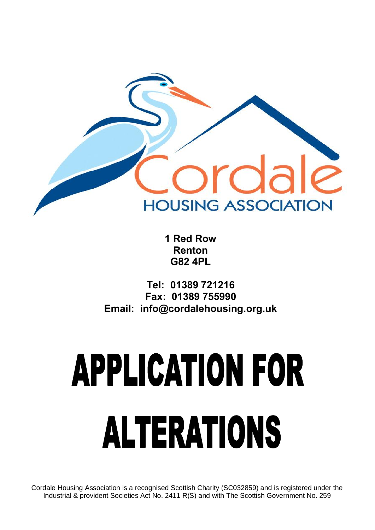

**1 Red Row Renton G82 4PL**

**Tel: 01389 721216 Fax: 01389 755990 Email: info@cordalehousing.org.uk**

# **APPLICATION FOR ALTERATIONS**

Cordale Housing Association is a recognised Scottish Charity (SC032859) and is registered under the Industrial & provident Societies Act No. 2411 R(S) and with The Scottish Government No. 259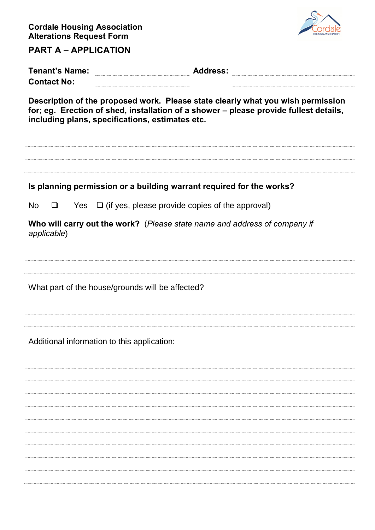

#### **PART A – APPLICATION**

| <b>Tenant's Name:</b>                                                           | <b>Address:</b> |  |  |  |  |  |  |
|---------------------------------------------------------------------------------|-----------------|--|--|--|--|--|--|
| <b>Contact No:</b>                                                              |                 |  |  |  |  |  |  |
| Description of the proposed work. Please state clearly what you wish permission |                 |  |  |  |  |  |  |

**for; eg. Erection of shed, installation of a shower – please provide fullest details, including plans, specifications, estimates etc.**

**Is planning permission or a building warrant required for the works?** No  $\Box$  Yes  $\Box$  (if yes, please provide copies of the approval) **Who will carry out the work?** (*Please state name and address of company if applicable*) What part of the house/grounds will be affected? Additional information to this application: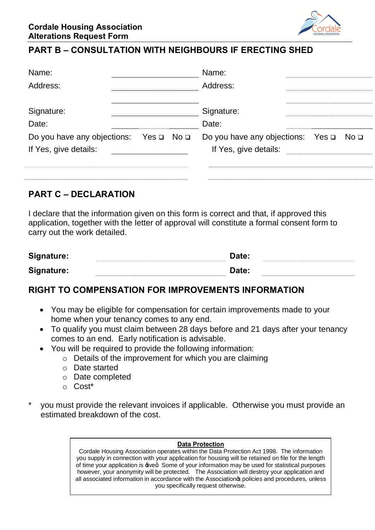

### **PART B – CONSULTATION WITH NEIGHBOURS IF ERECTING SHED**

| Name:                                                                     |  | Name:                                                           |  |  |
|---------------------------------------------------------------------------|--|-----------------------------------------------------------------|--|--|
| Address:                                                                  |  | Address:                                                        |  |  |
| Signature:<br>$\frac{9}{2}$ Date:                                         |  | Signature:<br>Date:                                             |  |  |
| Do you have any objections: Yes $\Box$ No $\Box$<br>If Yes, give details: |  | Do you have any objections: Yes □ No □<br>If Yes, give details: |  |  |
|                                                                           |  |                                                                 |  |  |

#### **PART C – DECLARATION**

I declare that the information given on this form is correct and that, if approved this application, together with the letter of approval will constitute a formal consent form to carry out the work detailed.

| Signature: | Date: |  |
|------------|-------|--|
| Signature: | Date: |  |

#### **RIGHT TO COMPENSATION FOR IMPROVEMENTS INFORMATION**

- · You may be eligible for compensation for certain improvements made to your home when your tenancy comes to any end.
- · To qualify you must claim between 28 days before and 21 days after your tenancy comes to an end. Early notification is advisable.
- · You will be required to provide the following information:
	- o Details of the improvement for which you are claiming
	- o Date started
	- o Date completed
	- o Cost\*
- you must provide the relevant invoices if applicable. Otherwise you must provide an estimated breakdown of the cost.

#### **Data Protection**

Cordale Housing Association operates within the Data Protection Act 1998. The information you supply in connection with your application for housing will be retained on file for the length of time your application is  $\pm$ iveq. Some of your information may be used for statistical purposes however, your anonymity will be protected. The Association will destroy your application and all associated information in accordance with the Associationos policies and procedures, unless you specifically request otherwise.